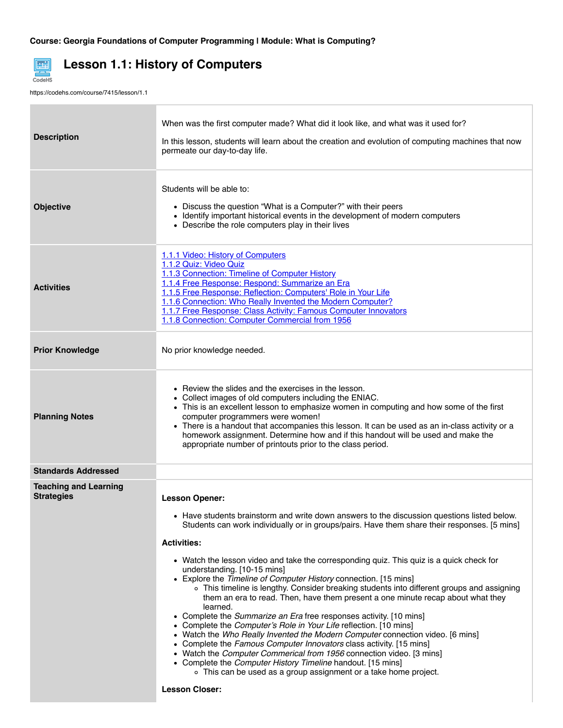

## **Lesson 1.1: History of Computers**

https://codehs.com/course/7415/lesson/1.1

| <b>Description</b>                                | When was the first computer made? What did it look like, and what was it used for?<br>In this lesson, students will learn about the creation and evolution of computing machines that now<br>permeate our day-to-day life.                                                                                                                                                                                                                                                                                                                                                                                                                                                                                                                                                                                                                                                                                                                                                                                                                                                                                                                                                     |  |  |
|---------------------------------------------------|--------------------------------------------------------------------------------------------------------------------------------------------------------------------------------------------------------------------------------------------------------------------------------------------------------------------------------------------------------------------------------------------------------------------------------------------------------------------------------------------------------------------------------------------------------------------------------------------------------------------------------------------------------------------------------------------------------------------------------------------------------------------------------------------------------------------------------------------------------------------------------------------------------------------------------------------------------------------------------------------------------------------------------------------------------------------------------------------------------------------------------------------------------------------------------|--|--|
| <b>Objective</b>                                  | Students will be able to:<br>• Discuss the question "What is a Computer?" with their peers<br>• Identify important historical events in the development of modern computers<br>• Describe the role computers play in their lives                                                                                                                                                                                                                                                                                                                                                                                                                                                                                                                                                                                                                                                                                                                                                                                                                                                                                                                                               |  |  |
| <b>Activities</b>                                 | 1.1.1 Video: History of Computers<br>1.1.2 Quiz: Video Quiz<br>1.1.3 Connection: Timeline of Computer History<br>1.1.4 Free Response: Respond: Summarize an Era<br>1.1.5 Free Response: Reflection: Computers' Role in Your Life<br>1.1.6 Connection: Who Really Invented the Modern Computer?<br>1.1.7 Free Response: Class Activity: Famous Computer Innovators<br>1.1.8 Connection: Computer Commercial from 1956                                                                                                                                                                                                                                                                                                                                                                                                                                                                                                                                                                                                                                                                                                                                                           |  |  |
| <b>Prior Knowledge</b>                            | No prior knowledge needed.                                                                                                                                                                                                                                                                                                                                                                                                                                                                                                                                                                                                                                                                                                                                                                                                                                                                                                                                                                                                                                                                                                                                                     |  |  |
| <b>Planning Notes</b>                             | • Review the slides and the exercises in the lesson.<br>• Collect images of old computers including the ENIAC.<br>• This is an excellent lesson to emphasize women in computing and how some of the first<br>computer programmers were women!<br>• There is a handout that accompanies this lesson. It can be used as an in-class activity or a<br>homework assignment. Determine how and if this handout will be used and make the<br>appropriate number of printouts prior to the class period.                                                                                                                                                                                                                                                                                                                                                                                                                                                                                                                                                                                                                                                                              |  |  |
| <b>Standards Addressed</b>                        |                                                                                                                                                                                                                                                                                                                                                                                                                                                                                                                                                                                                                                                                                                                                                                                                                                                                                                                                                                                                                                                                                                                                                                                |  |  |
| <b>Teaching and Learning</b><br><b>Strategies</b> | <b>Lesson Opener:</b><br>• Have students brainstorm and write down answers to the discussion questions listed below.<br>Students can work individually or in groups/pairs. Have them share their responses. [5 mins]<br><b>Activities:</b><br>• Watch the lesson video and take the corresponding quiz. This quiz is a quick check for<br>understanding. [10-15 mins]<br>• Explore the Timeline of Computer History connection. [15 mins]<br>• This timeline is lengthy. Consider breaking students into different groups and assigning<br>them an era to read. Then, have them present a one minute recap about what they<br>learned.<br>• Complete the Summarize an Era free responses activity. [10 mins]<br>• Complete the Computer's Role in Your Life reflection. [10 mins]<br>• Watch the Who Really Invented the Modern Computer connection video. [6 mins]<br>• Complete the Famous Computer Innovators class activity. [15 mins]<br>• Watch the Computer Commerical from 1956 connection video. [3 mins]<br>• Complete the Computer History Timeline handout. [15 mins]<br>o This can be used as a group assignment or a take home project.<br><b>Lesson Closer:</b> |  |  |